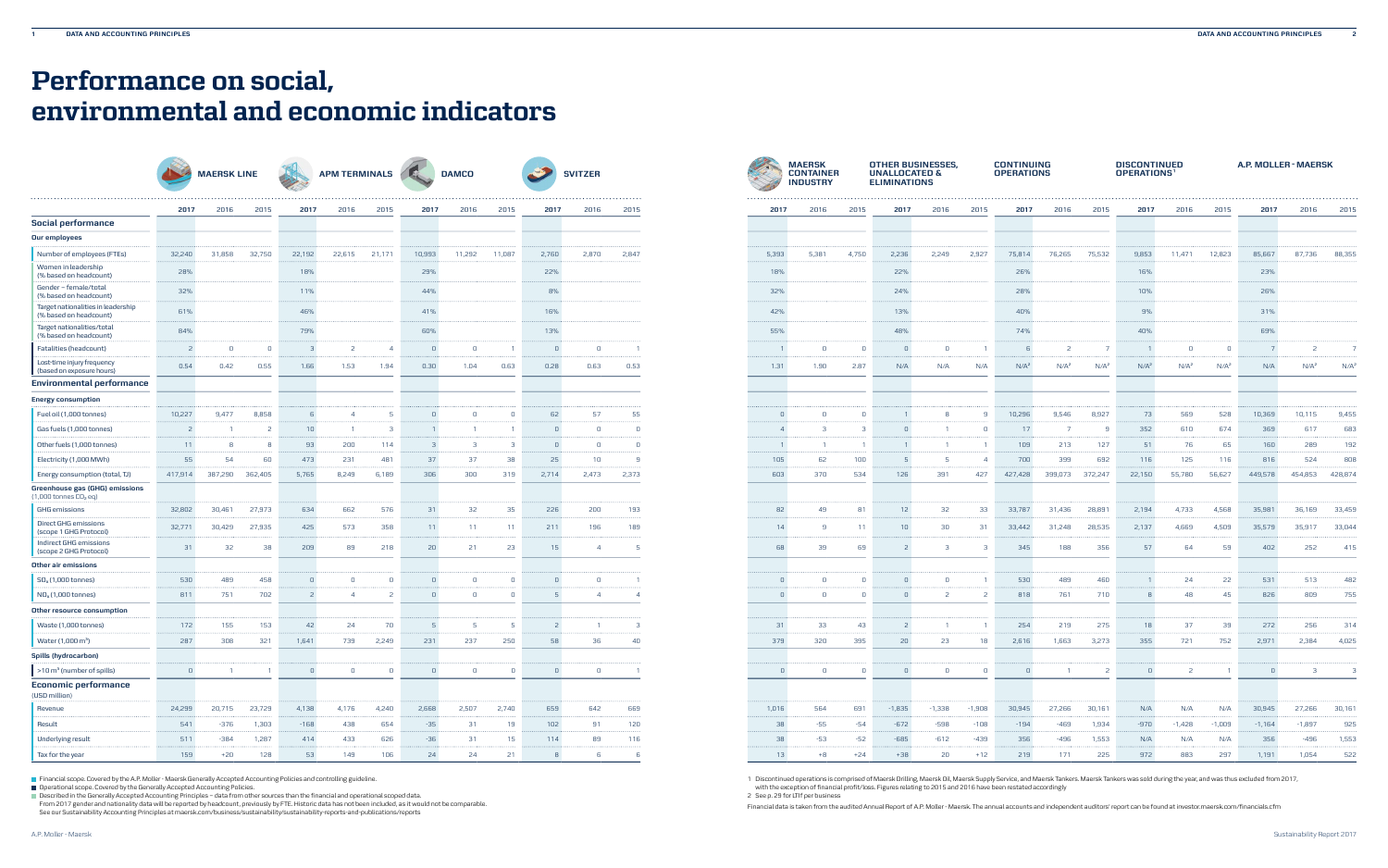|                                                                     |                |              |                 | MAERSK LINE APM TERMINALS DAMCO |                |                |                |                |                | <b>SVITZER</b> |                 |                | <b>MAERSK</b><br><b>CONTAINER</b><br><b>INDUSTRY</b> |                | <b>OTHER BUSINESSES,</b><br><b>UNALLOCATED &amp;</b><br><b>ELIMINATIONS</b> |                |                | <b>CONTINUING</b><br><b>OPERATIONS</b> |                |                  | <b>DISCONTINUED</b><br>OPERATIONS <sup>1</sup> |                  |                | A.P. MOL         |                  |                 |
|---------------------------------------------------------------------|----------------|--------------|-----------------|---------------------------------|----------------|----------------|----------------|----------------|----------------|----------------|-----------------|----------------|------------------------------------------------------|----------------|-----------------------------------------------------------------------------|----------------|----------------|----------------------------------------|----------------|------------------|------------------------------------------------|------------------|----------------|------------------|------------------|-----------------|
|                                                                     | 2017           | 2016         | 2015            | 2017                            | 2016           | 2015           | 2017           | 2016           | 2015           | 2017           | 2016            | 2015           |                                                      | 2017           | 2016                                                                        | 2015           | 2017           | 2016                                   | 2015           | 2017             | 2016                                           | 2015             | 2017           | 2016             | 2015             | 201             |
| <b>Social performance</b>                                           |                |              |                 |                                 |                |                |                |                |                |                |                 |                |                                                      |                |                                                                             |                |                |                                        |                |                  |                                                |                  |                |                  |                  |                 |
| <b>Our employees</b>                                                |                |              |                 |                                 |                |                |                |                |                |                |                 |                |                                                      |                |                                                                             |                |                |                                        |                |                  |                                                |                  |                |                  |                  |                 |
| Number of employees (FTEs)                                          | 32,240         | 31,858       | 32,750          | 22,192                          | 22,615         | 21,171         | 10,993         | 11,292         | 11,087         | 2,760          | 2,870           | 2,847          |                                                      | 5,393          | 5,381                                                                       | 4,750          | 2,236          | 2,249                                  | 2,927          | 75,814           | 76,265                                         | 75,532           | 9,853          | 11,471           | 12,823           | 85,667          |
| Women in leadership<br>(% based on headcount)                       | 28%            |              |                 | 18%                             |                |                | 29%            |                |                | 22%            |                 |                |                                                      | 18%            |                                                                             |                | 22%            |                                        |                | 26%              |                                                |                  | 16%            |                  |                  | 23%             |
| Gender - female/total<br>(% based on headcount)                     | 32%            |              |                 | 11%                             |                |                | 44%            |                |                | 8%             |                 |                |                                                      | 32%            |                                                                             |                | 24%            |                                        |                | 28%              |                                                |                  | 10%            |                  |                  | 26%             |
| Target nationalities in leadership<br>(% based on headcount)        | 61%            |              |                 | 46%                             |                |                | 41%            |                |                | 16%            |                 |                |                                                      | 42%            |                                                                             |                | 13%            |                                        |                | 40%              |                                                |                  | 9%             |                  |                  | 31%             |
| Target nationalities/total<br>(% based on headcount)                | 84%            |              |                 | 79%                             |                |                | 60%            |                |                | 13%            |                 |                |                                                      | 55%            |                                                                             |                | 48%            |                                        |                | 74%              |                                                |                  | 40%            |                  |                  | 69%             |
| Fatalities (headcount)                                              |                | $\Omega$     |                 |                                 |                | $\overline{4}$ | $\overline{0}$ | 0              |                | $\overline{0}$ | $\overline{0}$  | $\overline{1}$ |                                                      |                | $\sqrt{ }$                                                                  |                |                | $\mathbf{0}$                           |                |                  | $\overline{c}$                                 |                  |                |                  |                  |                 |
| Lost-time injury frequency<br>(based on exposure hours)             | 0.54           | 0.42         | 0.55            | 1.66                            | 1.53           | 1.94           | 0.30           | 1.04           | 0.63           | 0.28           | 0.63            | 0.53           |                                                      | 1.31           | 1.90                                                                        | 2.87           | N/A            | N/A                                    | N/A            | N/A <sup>2</sup> | N/A <sup>2</sup>                               | N/A <sup>2</sup> | $N/A^2$        | N/A <sup>2</sup> | N/A <sup>2</sup> | N/4             |
| Environmental performance                                           |                |              |                 |                                 |                |                |                |                |                |                |                 |                |                                                      |                |                                                                             |                |                |                                        |                |                  |                                                |                  |                |                  |                  |                 |
| <b>Energy consumption</b>                                           |                |              |                 |                                 |                |                |                |                |                |                |                 |                |                                                      |                |                                                                             |                |                |                                        |                |                  |                                                |                  |                |                  |                  |                 |
| Fuel oil (1,000 tonnes)                                             | 10,227         | 9,477        | 8,858           |                                 |                |                | $\overline{0}$ | $\Omega$       | $\Box$         | 62             | 57              | 55             |                                                      |                | $\Box$                                                                      |                |                | 8                                      | 9              | 10,296           | 9,546                                          | 8,927            | 73             | 569              | 528              | 10,369          |
| Gas fuels (1,000 tonnes)                                            | -2             |              |                 | 10                              | $\overline{1}$ | - 3            |                |                |                |                | $\overline{0}$  | $\circ$        |                                                      |                | -3                                                                          | $\mathbf{B}$   |                |                                        | 0              | 17               | 7                                              | - 9              | 352            | 610              | 674              | 369             |
| Other fuels (1,000 tonnes)                                          | 11             | -8           |                 | 93                              | 200            | 114            |                | - 3            | 3              | $\bigcap$      | $\overline{0}$  | $\overline{0}$ |                                                      |                |                                                                             |                |                |                                        |                | 109              | 213                                            | 127              | 51             | 76               | 65               | 160             |
| Electricity (1,000 MWh)                                             | 55             | 54           | 60              | 473                             | 231            | 481            | 37             | 37             | 38             | 25             | 10 <sub>1</sub> |                |                                                      | 105            | 62                                                                          | 100            |                |                                        | $\overline{4}$ | 700              | 399                                            | 692              | 116            | 125              | 116              | 816             |
| Energy consumption (total, TJ)                                      | 417,914        |              | 387,290 362,405 | 5,765                           | 8,249          | 6,189          | 306            | 300            | 319            | 2,714          | 2,473           | 2,373          |                                                      | 603            | 370                                                                         | 534            | 126            | 391                                    | 427            | 427,428          |                                                | 399,073 372,247  | 22,150         | 55,780           | 56,627           | 449,578         |
| Greenhouse gas (GHG) emissions<br>(1,000 tonnes CO <sub>2</sub> eq) |                |              |                 |                                 |                |                |                |                |                |                |                 |                |                                                      |                |                                                                             |                |                |                                        |                |                  |                                                |                  |                |                  |                  |                 |
| GHG emissions                                                       | 32,802         | 30,461       | 27,973          | 634                             | 662            | 576            | 31             | 32             | 35             | 226            | 200             | 193            |                                                      | 82             | 49                                                                          | 81             | 12             | 32                                     | 33             | 33,787           | 31,436                                         | 28,891           | 2,194          | 4,733            | 4,568            | 35,98'          |
| <b>Direct GHG emissions</b><br>(scope 1 GHG Protocol)               | 32,771         | 30,429       | 27,935          | 425                             | 573            | 358            | 11             | 11             | 11             | 211            | 196             | 189            |                                                      | 14             | -9                                                                          | 11             | 10             | 30                                     | 31             | 33,442           | 31,248                                         | 28,535           | 2,137          | 4,669            | 4,509            | 35,579          |
| Indirect GHG emissions<br>(scope 2 GHG Protocol)                    | 31             | 32           | 38              | 209                             | 89             | 218            | 20             | 21             | 23             | 15             | $\overline{4}$  | - 5            |                                                      | 68             | 39                                                                          | 69             |                | $\overline{\mathbf{3}}$                | -3             | 345              | 188                                            | 356              | 57             | 64               | 59               | 402             |
| Other air emissions                                                 |                |              |                 |                                 |                |                |                |                |                |                |                 |                |                                                      |                |                                                                             |                |                |                                        |                |                  |                                                |                  |                |                  |                  |                 |
| $SO_x(1,000 \text{ tonnes})$                                        | 530            | 489          | 458             |                                 |                | $\overline{0}$ | $\overline{0}$ | $\Omega$       | 0              | $\bigcap$      | $\mathbf{0}$    |                |                                                      |                | $\cup$                                                                      | $\Box$         |                | $\mathbf{0}$                           |                | 530              | 489                                            | 460              |                | 24               | 22               | 53 <sup>′</sup> |
| NO <sub>x</sub> (1,000 tonnes)                                      | 811            | 751          | 702             |                                 |                |                | $\Omega$       | $\Omega$       | $\cup$         |                | $\overline{4}$  |                |                                                      |                | $\sqrt{ }$                                                                  | $\cap$         |                | 2                                      |                | 818              | 761                                            | 710              |                | 48               | 45               | 826             |
| Other resource consumption                                          |                |              |                 |                                 |                |                |                |                |                |                |                 |                |                                                      |                |                                                                             |                |                |                                        |                |                  |                                                |                  |                |                  |                  |                 |
| Waste (1,000 tonnes)                                                | 172            | 155          | 153             | 42                              | 24             | 70             |                | -5             | -5             |                |                 |                |                                                      | 31             | 33                                                                          | 43             |                |                                        |                | 254              | 219                                            | 275              | 18             | 37               | 39               | 272             |
| Water $(1,000 \text{ m}^3)$                                         | 287            | 308          | 321             | 1,641                           | 739            | 2,249          | 231            | 237            | 250            | 58             | 36              | 40             |                                                      | 379            | 320                                                                         | 395            | 20             | 23                                     | 18             | 2,616            | 1,663                                          | 3,273            | 355            | 721              | 752              | 2,97'           |
| Spills (hydrocarbon)                                                |                |              |                 |                                 |                |                |                |                |                |                |                 |                |                                                      |                |                                                                             |                |                |                                        |                |                  |                                                |                  |                |                  |                  |                 |
| $>10 m3$ (number of spills)                                         | $\overline{0}$ | $\mathbf{1}$ |                 | $\overline{0}$                  | $\overline{0}$ | $\overline{0}$ | $\overline{0}$ | $\overline{0}$ | $\overline{0}$ | $\overline{0}$ | $\overline{0}$  | $\overline{1}$ |                                                      | $\overline{0}$ | $\overline{0}$                                                              | $\overline{0}$ | $\overline{0}$ | $\overline{0}$                         | $\mathbf{0}$   | $\overline{0}$   | $\overline{1}$                                 | $\overline{2}$   | $\overline{0}$ | $\overline{2}$   |                  |                 |
| <b>Economic performance</b><br>(USD million)                        |                |              |                 |                                 |                |                |                |                |                |                |                 |                |                                                      |                |                                                                             |                |                |                                        |                |                  |                                                |                  |                |                  |                  |                 |
| Revenue                                                             | 24,299         | 20,715       | 23,729          | 4,138                           | 4,176          | 4,240          | 2,668          | 2,507          | 2,740          | 659            | 642             | 669            |                                                      | 1,016          | 564                                                                         | 691            | $-1,835$       | $-1,338$                               | $-1,908$       | 30,945           | 27,266                                         | 30,161           | N/A            | N/A              | N/A              | 30,949          |
| Result                                                              | 541            | $-376$       | 1,303           | $-168$                          | 438            | 654            | $-35$          | 31             | 19             | 102            | 91              | 120            |                                                      | 38             | $-55$                                                                       | $-54$          | $-672$         | $-598$                                 | $-108$         | $-194$           | $-469$                                         | 1,934            | $-970$         | $-1,428$         | $-1,009$         | $-1,164$        |
| Underlying result                                                   | 511            | $-384$       | 1,287           | 414                             | 433            | 626            | $-36$          | 31             | 15             | 114            | 89              | 116            |                                                      | 38             | $-53$                                                                       | $-52$          | $-685$         | $-612$                                 | $-439$         | 356              | $-496$                                         | 1,553            | N/A            | N/A              | N/A              | 356             |
| Tax for the year                                                    | 159            | $+20$        | 128             | 53                              | 149            | 106            | 24             | 24             | 21             | -8             | 6               | - 6            |                                                      | 13             | $+8$                                                                        | $+24$          | $+38$          | 20                                     | $+12$          | 219              | 171                                            | 225              | 972            | 883              | 297              | 1,19'           |

Financial scope. Covered by the A.P. Moller - Maersk Generally Accepted Accounting Policies and controlling guideline.<br>Operational scope. Covered by the Generally Accepted Accounting Policies.

|                                                              | <b>MAERSK LINE</b> |                 |                |                | APM TERMINALS  |                |        | DAMCO          |        |                | <b>SVITZER</b> |       |  |                | <b>MAERSK</b><br><b>CONTAINER</b><br><b>INDUSTRY</b> |              | <b>OTHER BUSINESSES,</b><br><b>UNALLOCATED &amp;</b><br><b>ELIMINATIONS</b> |                |              | <b>CONTINUING</b><br><b>OPERATIONS</b> |                  |                  | <b>DISCONTINUED</b><br>OPERATIONS <sup>1</sup> |                  |                  | A.P. MOLLER - MAERSK |                  |                  |
|--------------------------------------------------------------|--------------------|-----------------|----------------|----------------|----------------|----------------|--------|----------------|--------|----------------|----------------|-------|--|----------------|------------------------------------------------------|--------------|-----------------------------------------------------------------------------|----------------|--------------|----------------------------------------|------------------|------------------|------------------------------------------------|------------------|------------------|----------------------|------------------|------------------|
|                                                              | 2017               | 2016            | 2015           | 2017           | 2016           | 2015           | 2017   | 2016           | 2015   | 2017           | 2016           | 2015  |  | 2017           | 2016                                                 | 2015         | 2017                                                                        | 2016           | 2015         | 2017                                   | 2016             | 2015             | 2017                                           | 2016             | 2015             | 2017                 | 2016             | 2015             |
| ocial performance                                            |                    |                 |                |                |                |                |        |                |        |                |                |       |  |                |                                                      |              |                                                                             |                |              |                                        |                  |                  |                                                |                  |                  |                      |                  |                  |
| ur employees                                                 |                    |                 |                |                |                |                |        |                |        |                |                |       |  |                |                                                      |              |                                                                             |                |              |                                        |                  |                  |                                                |                  |                  |                      |                  |                  |
| Number of employees (FTEs)                                   | 32,240             | 31,858          | 32,750         | 22,192         | 22,615         | 21,171         | 10,993 | 11,292         | 11,087 | 2,760          | 2,870          | 2,847 |  | 5,393          | 5,381                                                | 4,750        | 2,236                                                                       | 2,249          | 2,927        | 75,814                                 | 76,265           | 75,532           | 9,853                                          | 11,471           | 12,823           | 85,667               | 87,736           | 88,355           |
| Women in leadership<br>(% based on headcount)                | 28%                |                 |                | 18%            |                |                | 29%    |                |        | 22%            |                |       |  | 18%            |                                                      |              | 22%                                                                         |                |              | 26%                                    |                  |                  | 16%                                            |                  |                  | 23%                  |                  |                  |
| Gender – female/total<br>(% based on headcount)              | 32%                |                 |                | 11%            |                |                | 44%    |                |        | 8%             |                |       |  | 32%            |                                                      |              | 24%                                                                         |                |              | 28%                                    |                  |                  | 10%                                            |                  |                  | 26%                  |                  |                  |
| Target nationalities in leadership<br>(% based on headcount) | 61%                |                 |                | 46%            |                |                | 41%    |                |        | 16%            |                |       |  | 42%            |                                                      |              | 13%                                                                         |                |              | 40%                                    |                  |                  | 9%                                             |                  |                  | 31%                  |                  |                  |
| Target nationalities/total<br>(% based on headcount)         | 84%                |                 |                | 79%            |                |                | 60%    |                |        | 13%            |                |       |  | 55%            |                                                      |              | 48%                                                                         |                |              | 74%                                    |                  |                  | 40%                                            |                  |                  | 69%                  |                  |                  |
| Fatalities (headcount)                                       | $\overline{2}$     |                 | $\cup$         |                | $\overline{z}$ | $\overline{4}$ | $\Box$ | $\Box$         |        |                | $\overline{0}$ |       |  |                | $\mathbf{0}$                                         | $\cap$       |                                                                             | $\overline{0}$ |              |                                        | $\overline{2}$   | - 7              |                                                | n                | $\overline{0}$   |                      |                  |                  |
| Lost-time injury frequency<br>(based on exposure hours)      | 0.54               | 0.42            | 0.55           | 1.66           | 1.53           | 1.94           | 0.30   | 1.04           | 0.63   | 0.28           | 0.63           | 0.53  |  | 1.31           | 1.90                                                 | 2.87         | N/A                                                                         | N/A            | N/A          | N/A <sup>2</sup>                       | N/A <sup>2</sup> | N/A <sup>2</sup> | N/A <sup>2</sup>                               | N/A <sup>2</sup> | N/A <sup>2</sup> | N/A                  | N/A <sup>2</sup> | N/A <sup>2</sup> |
| nvironmental performance                                     |                    |                 |                |                |                |                |        |                |        |                |                |       |  |                |                                                      |              |                                                                             |                |              |                                        |                  |                  |                                                |                  |                  |                      |                  |                  |
| nergy consumption                                            |                    |                 |                |                |                |                |        |                |        |                |                |       |  |                |                                                      |              |                                                                             |                |              |                                        |                  |                  |                                                |                  |                  |                      |                  |                  |
| Fuel oil (1,000 tonnes)                                      | 10,227             | 9,477           | 8,858          |                | $\overline{A}$ |                | $\Box$ | $\Omega$       |        | 62             | 57             | 55    |  |                | $\Box$                                               | $\cap$       |                                                                             |                |              | 10,296                                 | 9,546            | 8,927            | 73                                             | 569              | 528              | 10,369               | 10,115           | 9,455            |
| Gas fuels (1,000 tonnes)                                     | - 2                |                 |                | 10             |                |                |        |                |        |                | $\Omega$       |       |  |                |                                                      |              |                                                                             |                |              | 17                                     |                  | -9               | 352                                            | 610              | 674              | 369                  | 617              | 683              |
| Other fuels (1,000 tonnes)                                   | 11                 |                 | -8             | 93             | 200            | 114            |        |                |        |                | $\overline{0}$ | - 0   |  |                | $\overline{1}$                                       | - 1          |                                                                             |                |              | 109                                    | 213              | 127              | 51                                             | 76               | 65               | 160                  | 289              | 192              |
| Electricity (1,000 MWh)                                      | 55                 | 54              | 60             | 473            | 231            | 481            | 37     | 37             | 38     | 25             | 10             |       |  | 105            | 62                                                   | 100          |                                                                             | - 5            | $\Delta$     | 700                                    | 399              | 692              | 116                                            | 125              | 116              | 816                  | 524              | 808              |
| Energy consumption (total, TJ)                               | 417,914            | 387,290 362,405 |                | 5,765          | 8,249          | 6,189          | 306    | 300            | 319    | 2,714          | 2,473          | 2,373 |  | 603            | 370                                                  | 534          | 126                                                                         | 391            | 427          | 427,428                                | 399,073 372,247  |                  | 22,150                                         | 55,780           | 56,627           | 449,578              | 454,853 428,874  |                  |
| reenhouse gas (GHG) emissions<br>,000 tonnes CO2 eq)         |                    |                 |                |                |                |                |        |                |        |                |                |       |  |                |                                                      |              |                                                                             |                |              |                                        |                  |                  |                                                |                  |                  |                      |                  |                  |
| GHG emissions                                                | 32,802             | 30,461          | 27,973         | 634            | 662            | 576            | 31     | 32             | 35     | 226            | 200            | 193   |  | 82             | 49                                                   | 81           | 12                                                                          | 32             | 33           | 33,787                                 | 31,436           | 28,891           | 2,194                                          | 4,733            | 4,568            | 35,981               | 36,169           | 33,459           |
| <b>Direct GHG emissions</b><br>(scope 1 GHG Protocol)        | 32,771             | 30,429          | 27,935         | 425            | 573            | 358            | 11     | 11             | 11     | 211            | 196            | 189   |  | 14             |                                                      | 11           | 10                                                                          | 30             | 31           | 33,442                                 | 31,248           | 28,535           | 2,137                                          | 4,669            | 4,509            | 35,579               | 35,917           | 33,044           |
| Indirect GHG emissions<br>(scope 2 GHG Protocol)             | 31                 | 32              | 38             | 209            | 89             | 218            | 20     | 21             | -23    | 15             | $\overline{4}$ |       |  | 68             | 39                                                   | 69           |                                                                             | -3             |              | 345                                    | 188              | 356              | 57                                             | 64               | 59               | 402                  | 252              | 415              |
| ther air emissions                                           |                    |                 |                |                |                |                |        |                |        |                |                |       |  |                |                                                      |              |                                                                             |                |              |                                        |                  |                  |                                                |                  |                  |                      |                  |                  |
| SO <sub>x</sub> (1,000 tonnes)                               | 530                | 489             | 458            |                | $\Omega$       |                |        | $\Omega$       |        |                | $\Box$         |       |  |                | 0                                                    | - 0          |                                                                             | $\Omega$       |              | 530                                    | 489              | 460              |                                                | 24               | 22               | 531                  | 513              | 482              |
| NO <sub>x</sub> (1,000 tonnes)                               | 811                | 751             | 702            |                | -4             | -2             |        | $\Omega$       |        |                | $\overline{4}$ |       |  |                | $\mathbf{0}$                                         | $\mathbf{0}$ |                                                                             | 2              |              | 818                                    | 761              | 710              |                                                | 48               | 45               | 826                  | 809              | 755              |
| ther resource consumption                                    |                    |                 |                |                |                |                |        |                |        |                |                |       |  |                |                                                      |              |                                                                             |                |              |                                        |                  |                  |                                                |                  |                  |                      |                  |                  |
| Waste (1,000 tonnes)                                         | 172                | 155             | 153            | 42             | 24             | 70             |        |                |        |                |                |       |  | 31             | 33                                                   | 43           |                                                                             |                |              | 254                                    | 219              | 275              | 18                                             | 37               | 39               | 272                  | 256              | 314              |
| Water (1,000 m <sup>3</sup> )                                | 287                | 308             | 321            | 1,641          | 739            | 2,249          | 231    | 237            | 250    | 58             | 36             | 40    |  | 379            | 320                                                  | 395          | 20                                                                          | 23             | 18           | 2,616                                  | 1,663            | 3,273            | 355                                            | 721              | 752              | 2,971                | 2,384            | 4,025            |
| pills (hydrocarbon)                                          |                    |                 |                |                |                |                |        |                |        |                |                |       |  |                |                                                      |              |                                                                             |                |              |                                        |                  |                  |                                                |                  |                  |                      |                  |                  |
| >10 m <sup>3</sup> (number of spills)                        | $\overline{0}$     |                 | $\overline{1}$ | $\overline{0}$ | $\mathbf{0}$   | $\mathbf{0}$   | 0      | $\overline{0}$ |        | $\overline{0}$ | $\overline{0}$ |       |  | $\overline{0}$ | $\overline{0}$                                       | $\Box$       | $\overline{0}$                                                              | $\overline{0}$ | $\mathbf{0}$ | $\overline{0}$                         |                  |                  | $\overline{0}$                                 | $\overline{c}$   |                  | $\overline{0}$       | 3 <sup>1</sup>   |                  |
| conomic performance<br><b>ISD</b> million)                   |                    |                 |                |                |                |                |        |                |        |                |                |       |  |                |                                                      |              |                                                                             |                |              |                                        |                  |                  |                                                |                  |                  |                      |                  |                  |
| Revenue                                                      | 24,299             | 20,715          | 23,729         | 4,138          | 4,176          | 4,240          | 2,668  | 2,507          | 2,740  | 659            | 642            | 669   |  | 1,016          | 564                                                  | 691          | $-1,835$                                                                    | $-1,338$       | $-1,908$     | 30,945                                 | 27,266           | 30,161           | N/A                                            | N/A              | N/A              | 30,945               | 27,266           | 30,161           |
| Result                                                       | 541                | -376            | 1,303          | $-168$         | 438            | 654            | $-35$  | 31             | 19     | 102            | 91             | 120   |  | 38             | $-55$                                                | $-54$        | $-672$                                                                      | $-598$         | $-108$       | $-194$                                 | -469             | 1,934            | $-970$                                         | $-1,428$         | $-1,009$         | $-1,164$             | $-1,897$         | 925              |
| Underlying result                                            | 511                | -384            | 1,287          | 414            | 433            | 626            | $-36$  | 31             | 15     | 114            | 89             | 116   |  | 38             | $-53$                                                | $-52$        | $-685$                                                                      | $-612$         | $-439$       | 356                                    | $-496$           | 1,553            | N/A                                            | N/A              | N/A              | 356                  | $-496$           | 1,553            |
| Tax for the year                                             | 159                | $+20$           | 128            | 53             | 149            | 106            | 24     | 24             | 21     |                | - 6            |       |  | 13             | $+8$                                                 | $+24$        | $+38$                                                                       | 20             | $+12$        | 219                                    | 171              | 225              | 972                                            | 883              | 297              | 1,191                | 1,054            | 522              |
|                                                              |                    |                 |                |                |                |                |        |                |        |                |                |       |  |                |                                                      |              |                                                                             |                |              |                                        |                  |                  |                                                |                  |                  |                      |                  |                  |

, 1017 Discontinued operations is comprised of Maersk Drilling, Maersk Oil, Maersk Supply Service, and Maersk Tankers. Maersk Tankers was sold during the year, and was thus excluded from 2017<br>with the exception of financia 2 See p. 29 for LTIf per business

## **Performance on social, environmental and economic indicators**

Described in the Generally Accepted Accounting Principles – data from other sources than the financial and operational scoped data.

From 2017 gender and nationality data will be reported by headcount, previously by FTE. Historic data has not been included, as it would not be comparable. See our Sustainability Accounting Principles at [maersk.com/business/sustainability/sustainability-reports-and-publications/reports](http://maersk.com/business/sustainability/sustainability-reports-and-publications/reports)

Financial data is taken from the audited Annual Report of A.P. Moller - Maersk. The annual accounts and independent auditors' report can be found at [investor.maersk.com/financials.cfm](http://investor.maersk.com/financials.cfm)